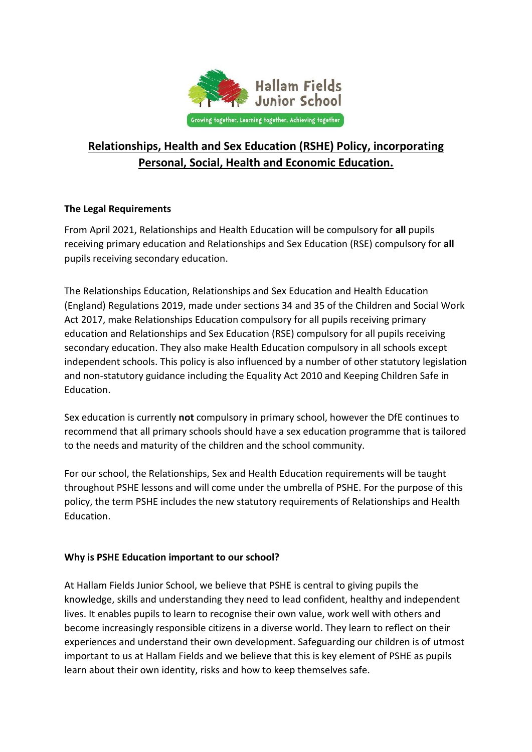

# **Relationships, Health and Sex Education (RSHE) Policy, incorporating Personal, Social, Health and Economic Education.**

# **The Legal Requirements**

From April 2021, Relationships and Health Education will be compulsory for **all** pupils receiving primary education and Relationships and Sex Education (RSE) compulsory for **all**  pupils receiving secondary education.

The Relationships Education, Relationships and Sex Education and Health Education (England) Regulations 2019, made under sections 34 and 35 of the Children and Social Work Act 2017, make Relationships Education compulsory for all pupils receiving primary education and Relationships and Sex Education (RSE) compulsory for all pupils receiving secondary education. They also make Health Education compulsory in all schools except independent schools. This policy is also influenced by a number of other statutory legislation and non-statutory guidance including the Equality Act 2010 and Keeping Children Safe in Education.

Sex education is currently **not** compulsory in primary school, however the DfE continues to recommend that all primary schools should have a sex education programme that is tailored to the needs and maturity of the children and the school community.

For our school, the Relationships, Sex and Health Education requirements will be taught throughout PSHE lessons and will come under the umbrella of PSHE. For the purpose of this policy, the term PSHE includes the new statutory requirements of Relationships and Health Education.

# **Why is PSHE Education important to our school?**

At Hallam Fields Junior School, we believe that PSHE is central to giving pupils the knowledge, skills and understanding they need to lead confident, healthy and independent lives. It enables pupils to learn to recognise their own value, work well with others and become increasingly responsible citizens in a diverse world. They learn to reflect on their experiences and understand their own development. Safeguarding our children is of utmost important to us at Hallam Fields and we believe that this is key element of PSHE as pupils learn about their own identity, risks and how to keep themselves safe.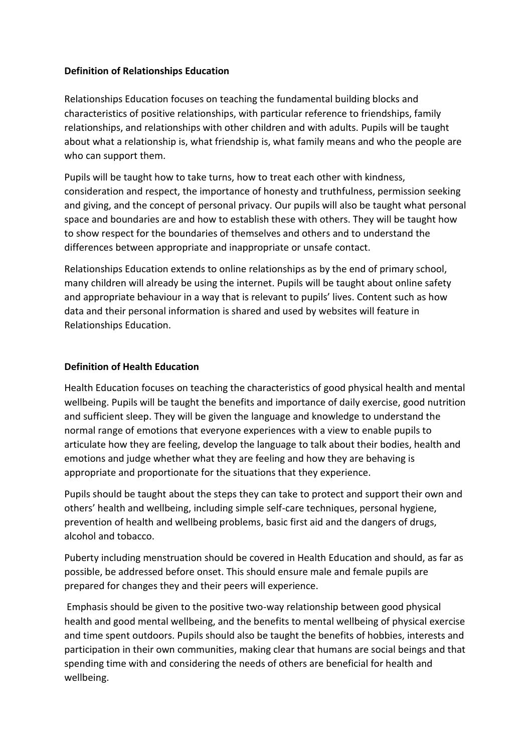## **Definition of Relationships Education**

Relationships Education focuses on teaching the fundamental building blocks and characteristics of positive relationships, with particular reference to friendships, family relationships, and relationships with other children and with adults. Pupils will be taught about what a relationship is, what friendship is, what family means and who the people are who can support them.

Pupils will be taught how to take turns, how to treat each other with kindness, consideration and respect, the importance of honesty and truthfulness, permission seeking and giving, and the concept of personal privacy. Our pupils will also be taught what personal space and boundaries are and how to establish these with others. They will be taught how to show respect for the boundaries of themselves and others and to understand the differences between appropriate and inappropriate or unsafe contact.

Relationships Education extends to online relationships as by the end of primary school, many children will already be using the internet. Pupils will be taught about online safety and appropriate behaviour in a way that is relevant to pupils' lives. Content such as how data and their personal information is shared and used by websites will feature in Relationships Education.

### **Definition of Health Education**

Health Education focuses on teaching the characteristics of good physical health and mental wellbeing. Pupils will be taught the benefits and importance of daily exercise, good nutrition and sufficient sleep. They will be given the language and knowledge to understand the normal range of emotions that everyone experiences with a view to enable pupils to articulate how they are feeling, develop the language to talk about their bodies, health and emotions and judge whether what they are feeling and how they are behaving is appropriate and proportionate for the situations that they experience.

Pupils should be taught about the steps they can take to protect and support their own and others' health and wellbeing, including simple self-care techniques, personal hygiene, prevention of health and wellbeing problems, basic first aid and the dangers of drugs, alcohol and tobacco.

Puberty including menstruation should be covered in Health Education and should, as far as possible, be addressed before onset. This should ensure male and female pupils are prepared for changes they and their peers will experience.

Emphasis should be given to the positive two-way relationship between good physical health and good mental wellbeing, and the benefits to mental wellbeing of physical exercise and time spent outdoors. Pupils should also be taught the benefits of hobbies, interests and participation in their own communities, making clear that humans are social beings and that spending time with and considering the needs of others are beneficial for health and wellbeing.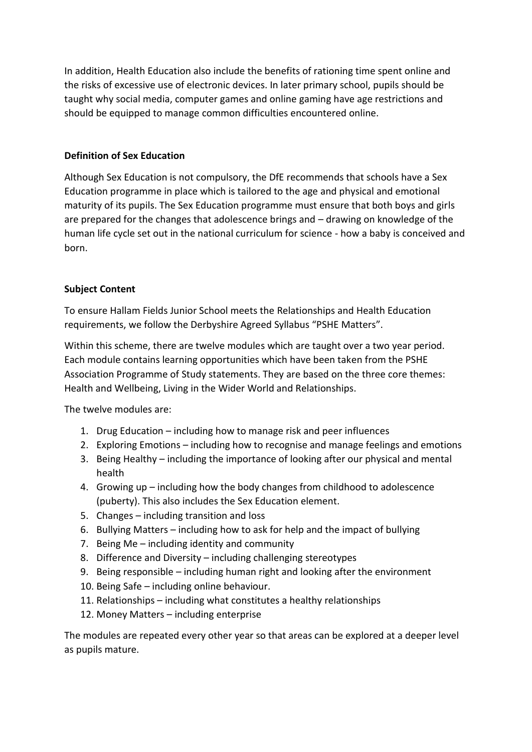In addition, Health Education also include the benefits of rationing time spent online and the risks of excessive use of electronic devices. In later primary school, pupils should be taught why social media, computer games and online gaming have age restrictions and should be equipped to manage common difficulties encountered online.

# **Definition of Sex Education**

Although Sex Education is not compulsory, the DfE recommends that schools have a Sex Education programme in place which is tailored to the age and physical and emotional maturity of its pupils. The Sex Education programme must ensure that both boys and girls are prepared for the changes that adolescence brings and – drawing on knowledge of the human life cycle set out in the national curriculum for science - how a baby is conceived and born.

# **Subject Content**

To ensure Hallam Fields Junior School meets the Relationships and Health Education requirements, we follow the Derbyshire Agreed Syllabus "PSHE Matters".

Within this scheme, there are twelve modules which are taught over a two year period. Each module contains learning opportunities which have been taken from the PSHE Association Programme of Study statements. They are based on the three core themes: Health and Wellbeing, Living in the Wider World and Relationships.

The twelve modules are:

- 1. Drug Education including how to manage risk and peer influences
- 2. Exploring Emotions including how to recognise and manage feelings and emotions
- 3. Being Healthy including the importance of looking after our physical and mental health
- 4. Growing up including how the body changes from childhood to adolescence (puberty). This also includes the Sex Education element.
- 5. Changes including transition and loss
- 6. Bullying Matters including how to ask for help and the impact of bullying
- 7. Being Me including identity and community
- 8. Difference and Diversity including challenging stereotypes
- 9. Being responsible including human right and looking after the environment
- 10. Being Safe including online behaviour.
- 11. Relationships including what constitutes a healthy relationships
- 12. Money Matters including enterprise

The modules are repeated every other year so that areas can be explored at a deeper level as pupils mature.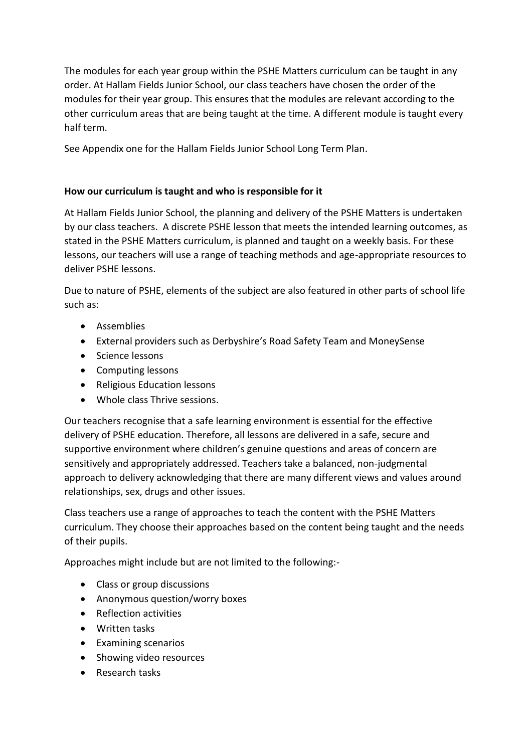The modules for each year group within the PSHE Matters curriculum can be taught in any order. At Hallam Fields Junior School, our class teachers have chosen the order of the modules for their year group. This ensures that the modules are relevant according to the other curriculum areas that are being taught at the time. A different module is taught every half term.

See Appendix one for the Hallam Fields Junior School Long Term Plan.

# **How our curriculum is taught and who is responsible for it**

At Hallam Fields Junior School, the planning and delivery of the PSHE Matters is undertaken by our class teachers. A discrete PSHE lesson that meets the intended learning outcomes, as stated in the PSHE Matters curriculum, is planned and taught on a weekly basis. For these lessons, our teachers will use a range of teaching methods and age-appropriate resources to deliver PSHE lessons.

Due to nature of PSHE, elements of the subject are also featured in other parts of school life such as:

- **•** Assemblies
- External providers such as Derbyshire's Road Safety Team and MoneySense
- Science lessons
- Computing lessons
- Religious Education lessons
- Whole class Thrive sessions.

Our teachers recognise that a safe learning environment is essential for the effective delivery of PSHE education. Therefore, all lessons are delivered in a safe, secure and supportive environment where children's genuine questions and areas of concern are sensitively and appropriately addressed. Teachers take a balanced, non-judgmental approach to delivery acknowledging that there are many different views and values around relationships, sex, drugs and other issues.

Class teachers use a range of approaches to teach the content with the PSHE Matters curriculum. They choose their approaches based on the content being taught and the needs of their pupils.

Approaches might include but are not limited to the following:-

- Class or group discussions
- Anonymous question/worry boxes
- Reflection activities
- Written tasks
- Examining scenarios
- Showing video resources
- Research tasks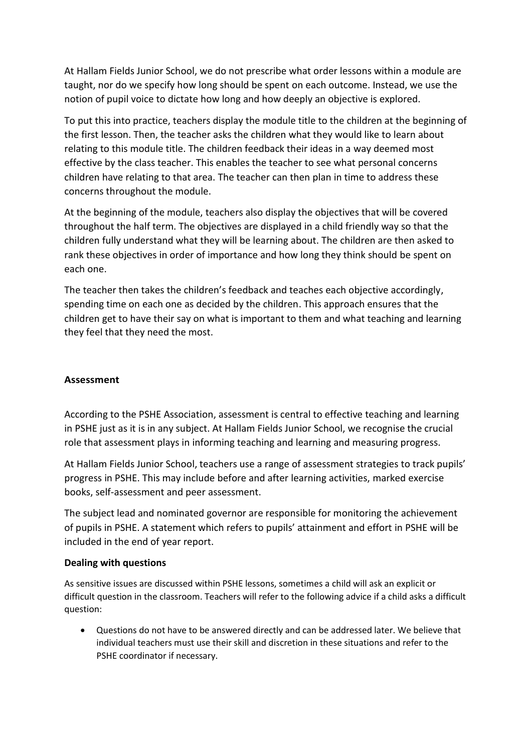At Hallam Fields Junior School, we do not prescribe what order lessons within a module are taught, nor do we specify how long should be spent on each outcome. Instead, we use the notion of pupil voice to dictate how long and how deeply an objective is explored.

To put this into practice, teachers display the module title to the children at the beginning of the first lesson. Then, the teacher asks the children what they would like to learn about relating to this module title. The children feedback their ideas in a way deemed most effective by the class teacher. This enables the teacher to see what personal concerns children have relating to that area. The teacher can then plan in time to address these concerns throughout the module.

At the beginning of the module, teachers also display the objectives that will be covered throughout the half term. The objectives are displayed in a child friendly way so that the children fully understand what they will be learning about. The children are then asked to rank these objectives in order of importance and how long they think should be spent on each one.

The teacher then takes the children's feedback and teaches each objective accordingly, spending time on each one as decided by the children. This approach ensures that the children get to have their say on what is important to them and what teaching and learning they feel that they need the most.

# **Assessment**

According to the PSHE Association, assessment is central to effective teaching and learning in PSHE just as it is in any subject. At Hallam Fields Junior School, we recognise the crucial role that assessment plays in informing teaching and learning and measuring progress.

At Hallam Fields Junior School, teachers use a range of assessment strategies to track pupils' progress in PSHE. This may include before and after learning activities, marked exercise books, self-assessment and peer assessment.

The subject lead and nominated governor are responsible for monitoring the achievement of pupils in PSHE. A statement which refers to pupils' attainment and effort in PSHE will be included in the end of year report.

#### **Dealing with questions**

As sensitive issues are discussed within PSHE lessons, sometimes a child will ask an explicit or difficult question in the classroom. Teachers will refer to the following advice if a child asks a difficult question:

 Questions do not have to be answered directly and can be addressed later. We believe that individual teachers must use their skill and discretion in these situations and refer to the PSHE coordinator if necessary.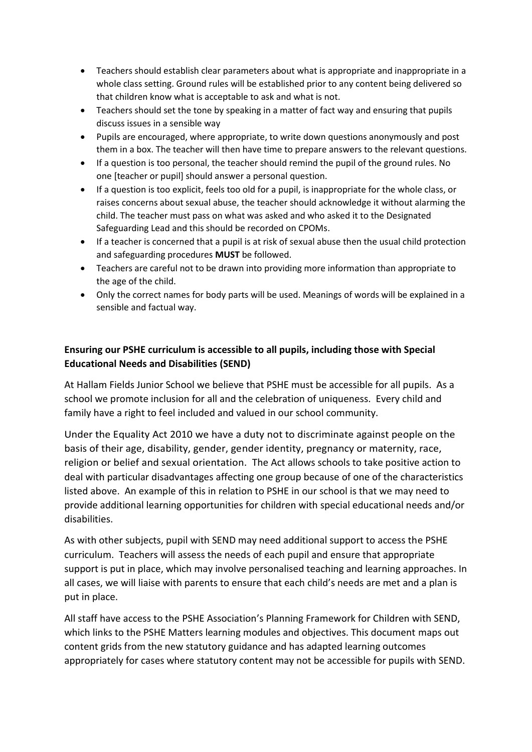- Teachers should establish clear parameters about what is appropriate and inappropriate in a whole class setting. Ground rules will be established prior to any content being delivered so that children know what is acceptable to ask and what is not.
- Teachers should set the tone by speaking in a matter of fact way and ensuring that pupils discuss issues in a sensible way
- Pupils are encouraged, where appropriate, to write down questions anonymously and post them in a box. The teacher will then have time to prepare answers to the relevant questions.
- If a question is too personal, the teacher should remind the pupil of the ground rules. No one [teacher or pupil] should answer a personal question.
- If a question is too explicit, feels too old for a pupil, is inappropriate for the whole class, or raises concerns about sexual abuse, the teacher should acknowledge it without alarming the child. The teacher must pass on what was asked and who asked it to the Designated Safeguarding Lead and this should be recorded on CPOMs.
- If a teacher is concerned that a pupil is at risk of sexual abuse then the usual child protection and safeguarding procedures **MUST** be followed.
- Teachers are careful not to be drawn into providing more information than appropriate to the age of the child.
- Only the correct names for body parts will be used. Meanings of words will be explained in a sensible and factual way.

# **Ensuring our PSHE curriculum is accessible to all pupils, including those with Special Educational Needs and Disabilities (SEND)**

At Hallam Fields Junior School we believe that PSHE must be accessible for all pupils. As a school we promote inclusion for all and the celebration of uniqueness. Every child and family have a right to feel included and valued in our school community.

Under the Equality Act 2010 we have a duty not to discriminate against people on the basis of their age, disability, gender, gender identity, pregnancy or maternity, race, religion or belief and sexual orientation. The Act allows schools to take positive action to deal with particular disadvantages affecting one group because of one of the characteristics listed above. An example of this in relation to PSHE in our school is that we may need to provide additional learning opportunities for children with special educational needs and/or disabilities.

As with other subjects, pupil with SEND may need additional support to access the PSHE curriculum. Teachers will assess the needs of each pupil and ensure that appropriate support is put in place, which may involve personalised teaching and learning approaches. In all cases, we will liaise with parents to ensure that each child's needs are met and a plan is put in place.

All staff have access to the PSHE Association's Planning Framework for Children with SEND, which links to the PSHE Matters learning modules and objectives. This document maps out content grids from the new statutory guidance and has adapted learning outcomes appropriately for cases where statutory content may not be accessible for pupils with SEND.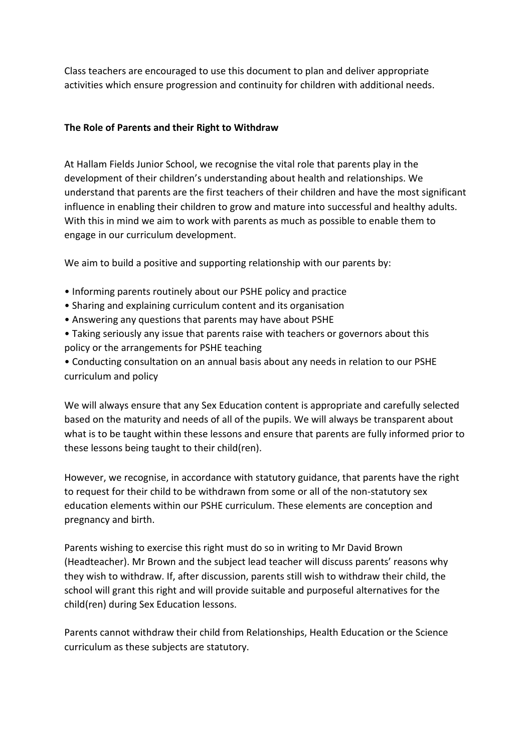Class teachers are encouraged to use this document to plan and deliver appropriate activities which ensure progression and continuity for children with additional needs.

## **The Role of Parents and their Right to Withdraw**

At Hallam Fields Junior School, we recognise the vital role that parents play in the development of their children's understanding about health and relationships. We understand that parents are the first teachers of their children and have the most significant influence in enabling their children to grow and mature into successful and healthy adults. With this in mind we aim to work with parents as much as possible to enable them to engage in our curriculum development.

We aim to build a positive and supporting relationship with our parents by:

- Informing parents routinely about our PSHE policy and practice
- Sharing and explaining curriculum content and its organisation
- Answering any questions that parents may have about PSHE
- Taking seriously any issue that parents raise with teachers or governors about this policy or the arrangements for PSHE teaching
- Conducting consultation on an annual basis about any needs in relation to our PSHE curriculum and policy

We will always ensure that any Sex Education content is appropriate and carefully selected based on the maturity and needs of all of the pupils. We will always be transparent about what is to be taught within these lessons and ensure that parents are fully informed prior to these lessons being taught to their child(ren).

However, we recognise, in accordance with statutory guidance, that parents have the right to request for their child to be withdrawn from some or all of the non-statutory sex education elements within our PSHE curriculum. These elements are conception and pregnancy and birth.

Parents wishing to exercise this right must do so in writing to Mr David Brown (Headteacher). Mr Brown and the subject lead teacher will discuss parents' reasons why they wish to withdraw. If, after discussion, parents still wish to withdraw their child, the school will grant this right and will provide suitable and purposeful alternatives for the child(ren) during Sex Education lessons.

Parents cannot withdraw their child from Relationships, Health Education or the Science curriculum as these subjects are statutory.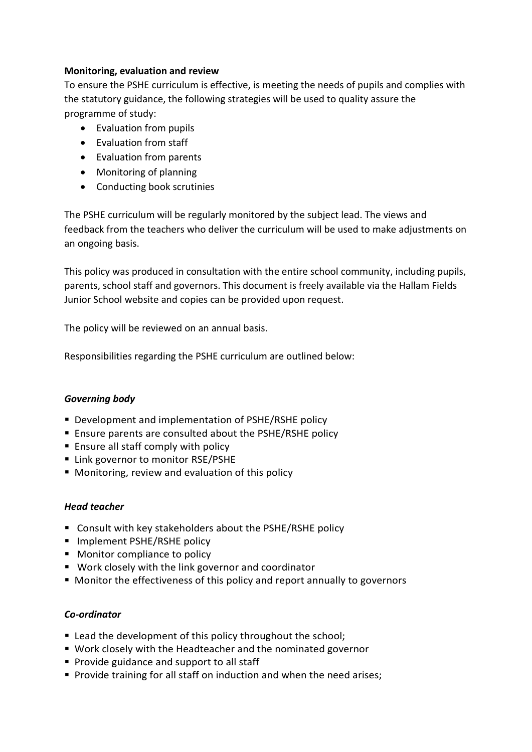# **Monitoring, evaluation and review**

To ensure the PSHE curriculum is effective, is meeting the needs of pupils and complies with the statutory guidance, the following strategies will be used to quality assure the programme of study:

- Evaluation from pupils
- Evaluation from staff
- Evaluation from parents
- Monitoring of planning
- Conducting book scrutinies

The PSHE curriculum will be regularly monitored by the subject lead. The views and feedback from the teachers who deliver the curriculum will be used to make adjustments on an ongoing basis.

This policy was produced in consultation with the entire school community, including pupils, parents, school staff and governors. This document is freely available via the Hallam Fields Junior School website and copies can be provided upon request.

The policy will be reviewed on an annual basis.

Responsibilities regarding the PSHE curriculum are outlined below:

#### *Governing body*

- Development and implementation of PSHE/RSHE policy
- Ensure parents are consulted about the PSHE/RSHE policy
- **Ensure all staff comply with policy**
- Link governor to monitor RSE/PSHE
- Monitoring, review and evaluation of this policy

#### *Head teacher*

- Consult with key stakeholders about the PSHE/RSHE policy
- Implement PSHE/RSHE policy
- **Monitor compliance to policy**
- Work closely with the link governor and coordinator
- Monitor the effectiveness of this policy and report annually to governors

#### *Co-ordinator*

- Lead the development of this policy throughout the school;
- Work closely with the Headteacher and the nominated governor
- **Provide guidance and support to all staff**
- **Provide training for all staff on induction and when the need arises;**